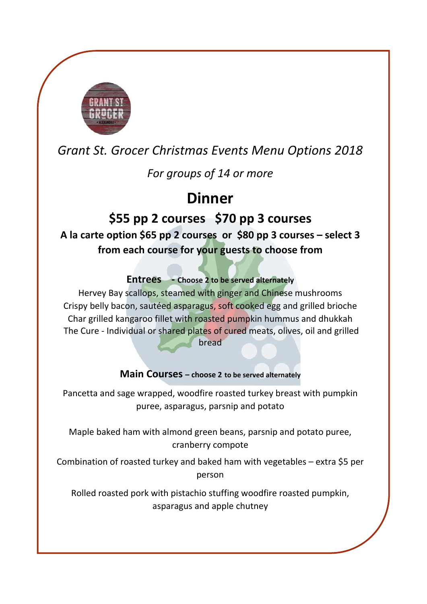

## *Grant St. Grocer Christmas Events Menu Options 2018*

*For groups of 14 or more* 

# **Dinner**

### **\$55 pp 2 courses \$70 pp 3 courses**

**A la carte option \$65 pp 2 courses or \$80 pp 3 courses – select 3 from each course for your guests to choose from** 

### **Entrees** - Choose 2 to be served alternately

Hervey Bay scallops, steamed with ginger and Chinese mushrooms Crispy belly bacon, sautéed asparagus, soft cooked egg and grilled brioche Char grilled kangaroo fillet with roasted pumpkin hummus and dhukkah The Cure - Individual or shared plates of cured meats, olives, oil and grilled bread

#### **Main Courses – choose 2 to be served alternately**

Pancetta and sage wrapped, woodfire roasted turkey breast with pumpkin puree, asparagus, parsnip and potato

Maple baked ham with almond green beans, parsnip and potato puree, cranberry compote

Combination of roasted turkey and baked ham with vegetables – extra \$5 per person

Rolled roasted pork with pistachio stuffing woodfire roasted pumpkin, asparagus and apple chutney